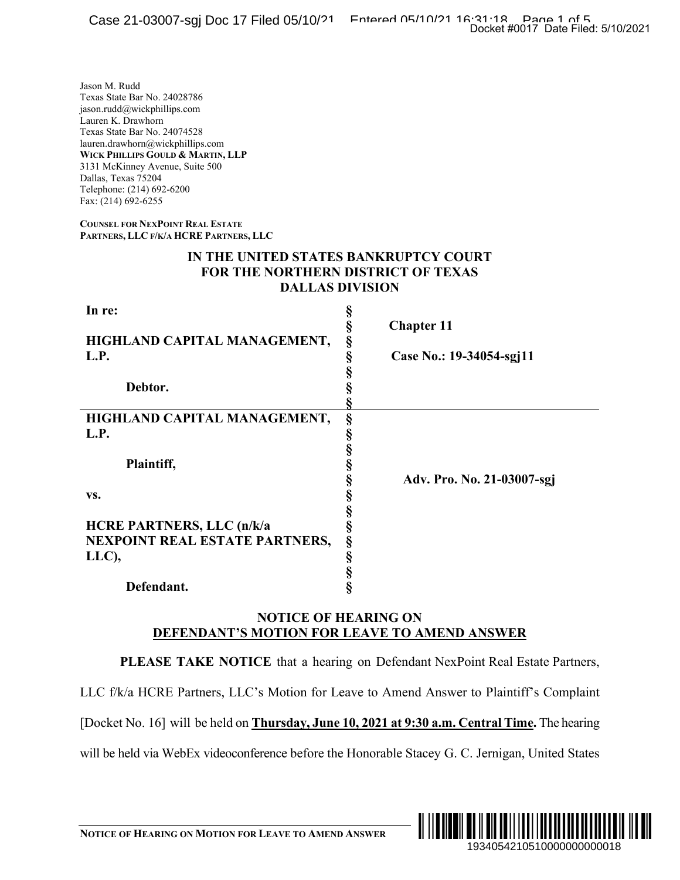## **IN THE UNITED STATES BANKRUPTCY COURT FOR THE NORTHERN DISTRICT OF TEXAS DALLAS DIVISION**

|                                                                                                                                                                                                                                                                                                                           | Docket #0017 Date Filed: 5/10/2021                                                                                                                          |
|---------------------------------------------------------------------------------------------------------------------------------------------------------------------------------------------------------------------------------------------------------------------------------------------------------------------------|-------------------------------------------------------------------------------------------------------------------------------------------------------------|
| Jason M. Rudd<br>Texas State Bar No. 24028786<br>jason.rudd@wickphillips.com<br>Lauren K. Drawhorn<br>Texas State Bar No. 24074528<br>lauren.drawhorn@wickphillips.com<br>WICK PHILLIPS GOULD & MARTIN, LLP<br>3131 McKinney Avenue, Suite 500<br>Dallas, Texas 75204<br>Telephone: (214) 692-6200<br>Fax: (214) 692-6255 |                                                                                                                                                             |
| <b>COUNSEL FOR NEXPOINT REAL ESTATE</b><br>PARTNERS, LLC F/K/A HCRE PARTNERS, LLC                                                                                                                                                                                                                                         |                                                                                                                                                             |
| IN THE UNITED STATES BANKRUPTCY COURT<br><b>FOR THE NORTHERN DISTRICT OF TEXAS</b><br><b>DALLAS DIVISION</b>                                                                                                                                                                                                              |                                                                                                                                                             |
| In re:<br>HIGHLAND CAPITAL MANAGEMENT,<br>L.P.<br>Debtor.<br>HIGHLAND CAPITAL MANAGEMENT,<br>L.P.<br>Plaintiff,<br>VS.<br><b>HCRE PARTNERS, LLC (n/k/a</b><br>NEXPOINT REAL ESTATE PARTNERS,<br>LLC),<br>Defendant.                                                                                                       | §<br>§<br><b>Chapter 11</b><br>§<br>Case No.: 19-34054-sgj11<br>§<br>§<br>§<br>§<br>§<br>§<br>Adv. Pro. No. 21-03007-sgj<br>§<br>Ş<br>s<br>§<br>§<br>§<br>Ś |
| <b>NOTICE OF HEARING ON</b><br>DEFENDANT'S MOTION FOR LEAVE TO AMEND ANSWER                                                                                                                                                                                                                                               |                                                                                                                                                             |
|                                                                                                                                                                                                                                                                                                                           | PLEASE TAKE NOTICE that a hearing on Defendant NexPoint Real Estate Partners,                                                                               |
|                                                                                                                                                                                                                                                                                                                           | LLC f/k/a HCRE Partners, LLC's Motion for Leave to Amend Answer to Plaintiff's Complaint                                                                    |
|                                                                                                                                                                                                                                                                                                                           | [Docket No. 16] will be held on <b>Thursday, June 10, 2021 at 9:30 a.m. Central Time</b> . The hearing                                                      |
|                                                                                                                                                                                                                                                                                                                           | will be held via WebEx videoconference before the Honorable Stacey G. C. Jernigan, United States                                                            |
| NOTICE OF HEARING ON MOTION FOR LEAVE TO AMEND ANSWER                                                                                                                                                                                                                                                                     | III III<br>1934054210510000000000018                                                                                                                        |

# **NOTICE OF HEARING ON DEFENDANT'S MOTION FOR LEAVE TO AMEND ANSWER**



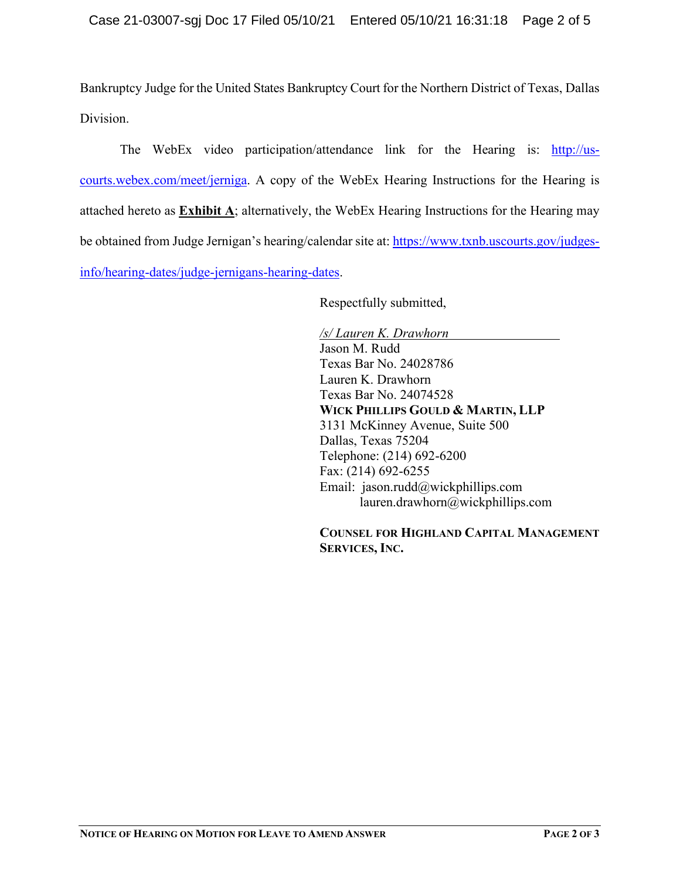Bankruptcy Judge for the United States Bankruptcy Court for the Northern District of Texas, Dallas Division.

The WebEx video participation/attendance link for the Hearing is: [http://us](http://us-courts.webex.com/meet/jerniga)[courts.webex.com/meet/jerniga.](http://us-courts.webex.com/meet/jerniga) A copy of the WebEx Hearing Instructions for the Hearing is attached hereto as **Exhibit A**; alternatively, the WebEx Hearing Instructions for the Hearing may be obtained from Judge Jernigan's hearing/calendar site at[: https://www.txnb.uscourts.gov/judges](https://www.txnb.uscourts.gov/judges-info/hearing-dates/judge-jernigans-hearing-dates)[info/hearing-dates/judge-jernigans-hearing-dates.](https://www.txnb.uscourts.gov/judges-info/hearing-dates/judge-jernigans-hearing-dates)

Respectfully submitted,

*/s/ Lauren K. Drawhorn* Jason M. Rudd Texas Bar No. 24028786 Lauren K. Drawhorn Texas Bar No. 24074528 **WICK PHILLIPS GOULD & MARTIN, LLP** 3131 McKinney Avenue, Suite 500 Dallas, Texas 75204 Telephone: (214) 692-6200 Fax: (214) 692-6255 Email: jason.rudd@wickphillips.com lauren.drawhorn@wickphillips.com

**COUNSEL FOR HIGHLAND CAPITAL MANAGEMENT SERVICES, INC.**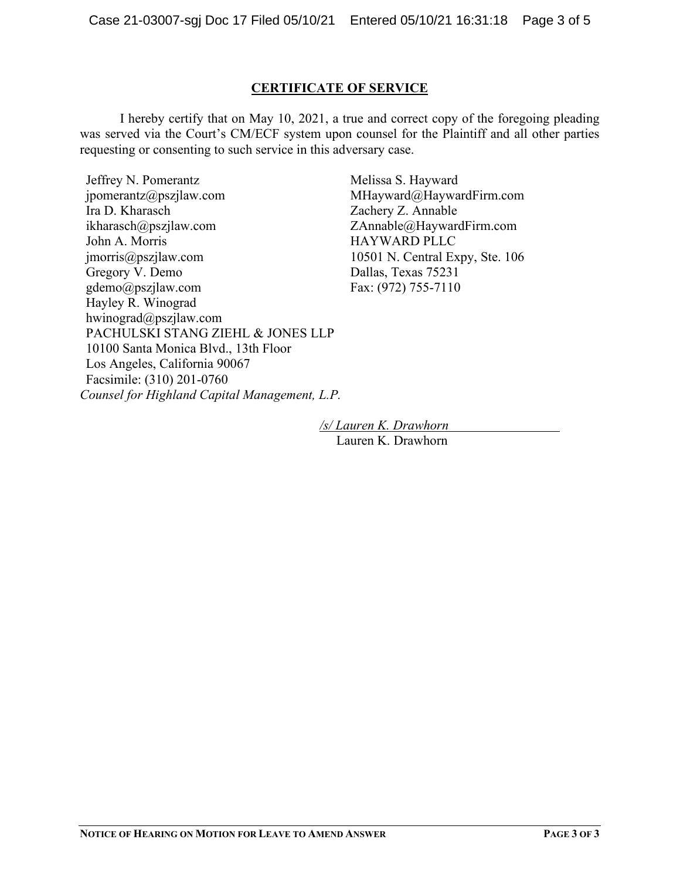## **CERTIFICATE OF SERVICE**

I hereby certify that on May 10, 2021, a true and correct copy of the foregoing pleading was served via the Court's CM/ECF system upon counsel for the Plaintiff and all other parties requesting or consenting to such service in this adversary case.

Jeffrey N. Pomerantz jpomerantz@pszjlaw.com Ira D. Kharasch ikharasch@pszjlaw.com John A. Morris jmorris@pszjlaw.com Gregory V. Demo gdemo@pszjlaw.com Hayley R. Winograd hwinograd@pszjlaw.com PACHULSKI STANG ZIEHL & JONES LLP 10100 Santa Monica Blvd., 13th Floor Los Angeles, California 90067 Facsimile: (310) 201-0760 *Counsel for Highland Capital Management, L.P.*

Melissa S. Hayward MHayward@HaywardFirm.com Zachery Z. Annable ZAnnable@HaywardFirm.com HAYWARD PLLC 10501 N. Central Expy, Ste. 106 Dallas, Texas 75231 Fax: (972) 755-7110

*/s/ Lauren K. Drawhorn* Lauren K. Drawhorn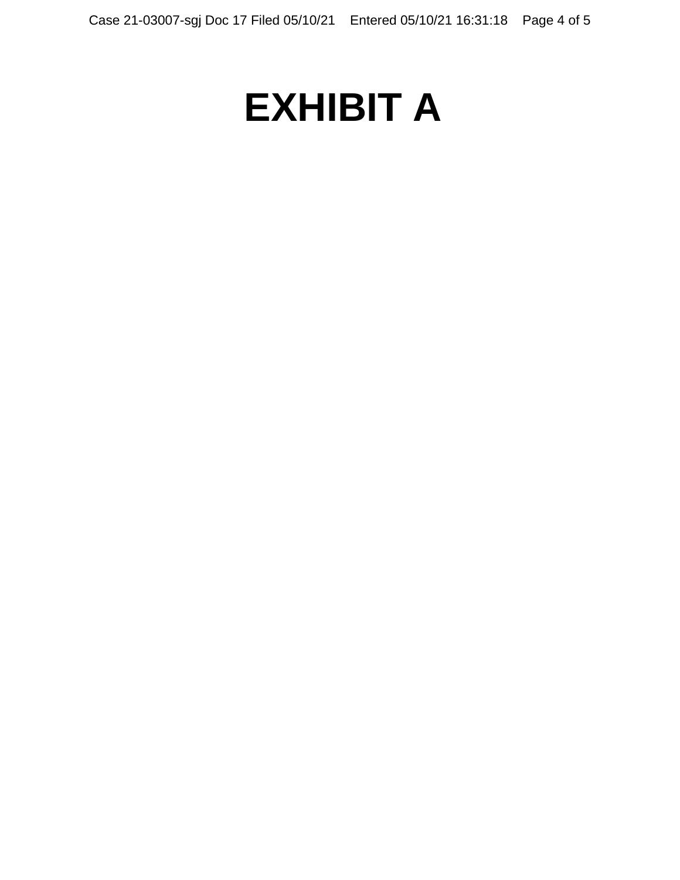# **EXHIBIT A**